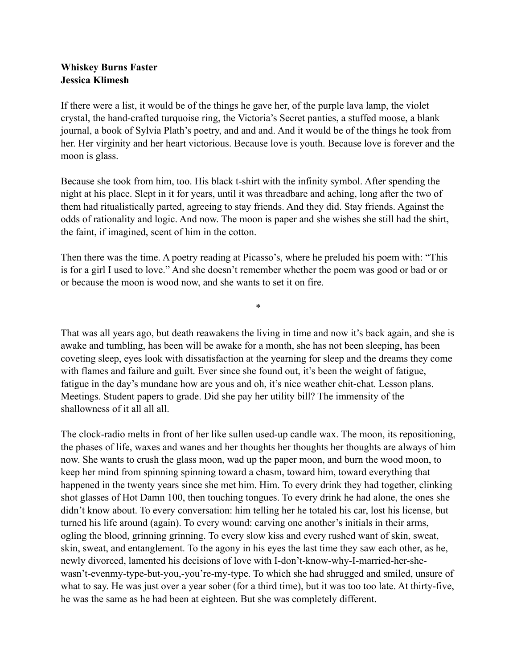## **Whiskey Burns Faster Jessica Klimesh**

If there were a list, it would be of the things he gave her, of the purple lava lamp, the violet crystal, the hand-crafted turquoise ring, the Victoria's Secret panties, a stuffed moose, a blank journal, a book of Sylvia Plath's poetry, and and and. And it would be of the things he took from her. Her virginity and her heart victorious. Because love is youth. Because love is forever and the moon is glass.

Because she took from him, too. His black t-shirt with the infinity symbol. After spending the night at his place. Slept in it for years, until it was threadbare and aching, long after the two of them had ritualistically parted, agreeing to stay friends. And they did. Stay friends. Against the odds of rationality and logic. And now. The moon is paper and she wishes she still had the shirt, the faint, if imagined, scent of him in the cotton.

Then there was the time. A poetry reading at Picasso's, where he preluded his poem with: "This is for a girl I used to love." And she doesn't remember whether the poem was good or bad or or or because the moon is wood now, and she wants to set it on fire.

\*

That was all years ago, but death reawakens the living in time and now it's back again, and she is awake and tumbling, has been will be awake for a month, she has not been sleeping, has been coveting sleep, eyes look with dissatisfaction at the yearning for sleep and the dreams they come with flames and failure and guilt. Ever since she found out, it's been the weight of fatigue, fatigue in the day's mundane how are yous and oh, it's nice weather chit-chat. Lesson plans. Meetings. Student papers to grade. Did she pay her utility bill? The immensity of the shallowness of it all all all.

The clock-radio melts in front of her like sullen used-up candle wax. The moon, its repositioning, the phases of life, waxes and wanes and her thoughts her thoughts her thoughts are always of him now. She wants to crush the glass moon, wad up the paper moon, and burn the wood moon, to keep her mind from spinning spinning toward a chasm, toward him, toward everything that happened in the twenty years since she met him. Him. To every drink they had together, clinking shot glasses of Hot Damn 100, then touching tongues. To every drink he had alone, the ones she didn't know about. To every conversation: him telling her he totaled his car, lost his license, but turned his life around (again). To every wound: carving one another's initials in their arms, ogling the blood, grinning grinning. To every slow kiss and every rushed want of skin, sweat, skin, sweat, and entanglement. To the agony in his eyes the last time they saw each other, as he, newly divorced, lamented his decisions of love with I-don't-know-why-I-married-her-shewasn't-evenmy-type-but-you,-you're-my-type. To which she had shrugged and smiled, unsure of what to say. He was just over a year sober (for a third time), but it was too too late. At thirty-five, he was the same as he had been at eighteen. But she was completely different.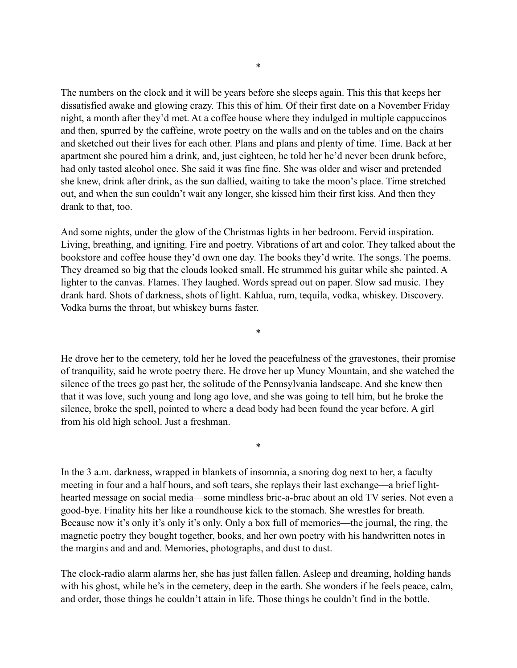The numbers on the clock and it will be years before she sleeps again. This this that keeps her dissatisfied awake and glowing crazy. This this of him. Of their first date on a November Friday night, a month after they'd met. At a coffee house where they indulged in multiple cappuccinos and then, spurred by the caffeine, wrote poetry on the walls and on the tables and on the chairs and sketched out their lives for each other. Plans and plans and plenty of time. Time. Back at her apartment she poured him a drink, and, just eighteen, he told her he'd never been drunk before, had only tasted alcohol once. She said it was fine fine. She was older and wiser and pretended she knew, drink after drink, as the sun dallied, waiting to take the moon's place. Time stretched out, and when the sun couldn't wait any longer, she kissed him their first kiss. And then they drank to that, too.

And some nights, under the glow of the Christmas lights in her bedroom. Fervid inspiration. Living, breathing, and igniting. Fire and poetry. Vibrations of art and color. They talked about the bookstore and coffee house they'd own one day. The books they'd write. The songs. The poems. They dreamed so big that the clouds looked small. He strummed his guitar while she painted. A lighter to the canvas. Flames. They laughed. Words spread out on paper. Slow sad music. They drank hard. Shots of darkness, shots of light. Kahlua, rum, tequila, vodka, whiskey. Discovery. Vodka burns the throat, but whiskey burns faster.

\*

He drove her to the cemetery, told her he loved the peacefulness of the gravestones, their promise of tranquility, said he wrote poetry there. He drove her up Muncy Mountain, and she watched the silence of the trees go past her, the solitude of the Pennsylvania landscape. And she knew then that it was love, such young and long ago love, and she was going to tell him, but he broke the silence, broke the spell, pointed to where a dead body had been found the year before. A girl from his old high school. Just a freshman.

\*

In the 3 a.m. darkness, wrapped in blankets of insomnia, a snoring dog next to her, a faculty meeting in four and a half hours, and soft tears, she replays their last exchange—a brief lighthearted message on social media—some mindless bric-a-brac about an old TV series. Not even a good-bye. Finality hits her like a roundhouse kick to the stomach. She wrestles for breath. Because now it's only it's only it's only. Only a box full of memories—the journal, the ring, the magnetic poetry they bought together, books, and her own poetry with his handwritten notes in the margins and and and. Memories, photographs, and dust to dust.

The clock-radio alarm alarms her, she has just fallen fallen. Asleep and dreaming, holding hands with his ghost, while he's in the cemetery, deep in the earth. She wonders if he feels peace, calm, and order, those things he couldn't attain in life. Those things he couldn't find in the bottle.

\*